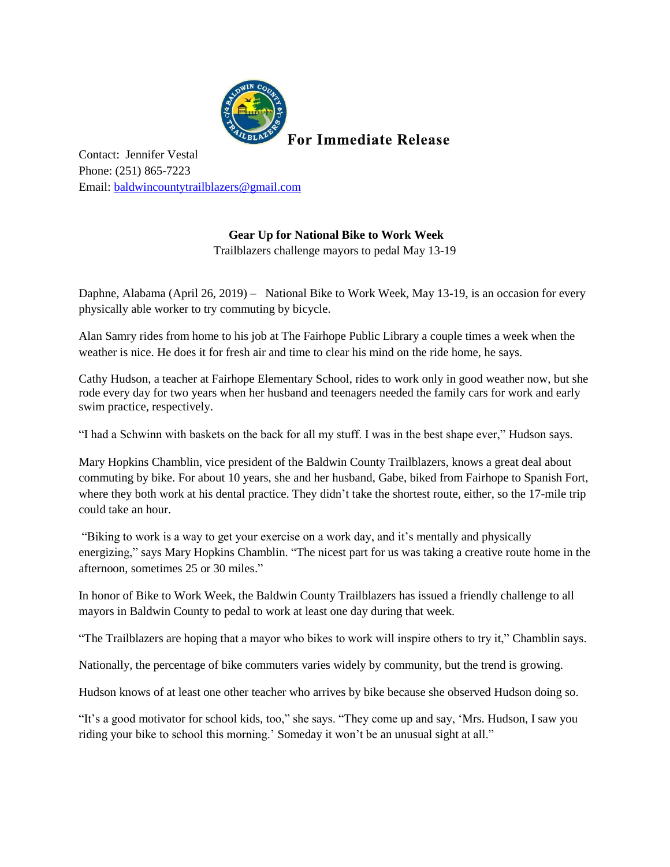

**For Immediate Release** 

Contact: Jennifer Vestal Phone: (251) 865-7223 Email: [baldwincountytrailblazers@gmail.com](mailto:baldwincountytrailblazers@gmail.com)

## **Gear Up for National Bike to Work Week**

Trailblazers challenge mayors to pedal May 13-19

Daphne, Alabama (April 26, 2019) – National Bike to Work Week, May 13-19, is an occasion for every physically able worker to try commuting by bicycle.

Alan Samry rides from home to his job at The Fairhope Public Library a couple times a week when the weather is nice. He does it for fresh air and time to clear his mind on the ride home, he says.

Cathy Hudson, a teacher at Fairhope Elementary School, rides to work only in good weather now, but she rode every day for two years when her husband and teenagers needed the family cars for work and early swim practice, respectively.

"I had a Schwinn with baskets on the back for all my stuff. I was in the best shape ever," Hudson says.

Mary Hopkins Chamblin, vice president of the Baldwin County Trailblazers, knows a great deal about commuting by bike. For about 10 years, she and her husband, Gabe, biked from Fairhope to Spanish Fort, where they both work at his dental practice. They didn't take the shortest route, either, so the 17-mile trip could take an hour.

"Biking to work is a way to get your exercise on a work day, and it's mentally and physically energizing," says Mary Hopkins Chamblin. "The nicest part for us was taking a creative route home in the afternoon, sometimes 25 or 30 miles."

In honor of Bike to Work Week, the Baldwin County Trailblazers has issued a friendly challenge to all mayors in Baldwin County to pedal to work at least one day during that week.

"The Trailblazers are hoping that a mayor who bikes to work will inspire others to try it," Chamblin says.

Nationally, the percentage of bike commuters varies widely by community, but the trend is growing.

Hudson knows of at least one other teacher who arrives by bike because she observed Hudson doing so.

"It's a good motivator for school kids, too," she says. "They come up and say, 'Mrs. Hudson, I saw you riding your bike to school this morning.' Someday it won't be an unusual sight at all."